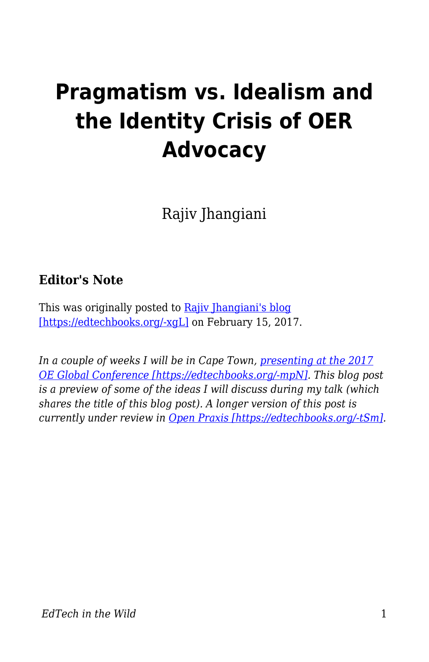# **Pragmatism vs. Idealism and the Identity Crisis of OER Advocacy**

Rajiv Jhangiani

### **Editor's Note**

This was originally posted to [Rajiv Jhangiani's blog](http://thatpsychprof.com/pragmatism-vs-idealism-and-the-identity-crisis-of-oer-advocacy/) [\[https://edtechbooks.org/-xgL\]](http://thatpsychprof.com/pragmatism-vs-idealism-and-the-identity-crisis-of-oer-advocacy/) on February 15, 2017.

*In a couple of weeks I will be in Cape Town, [presenting at the 2017](http://conference.oeconsortium.org/2017/presentation/pragmatic-vs-idealism-and-the-identity-crisis-of-oer-advocacy/) [OE Global Conference \[https://edtechbooks.org/-mpN\]](http://conference.oeconsortium.org/2017/presentation/pragmatic-vs-idealism-and-the-identity-crisis-of-oer-advocacy/). This blog post is a preview of some of the ideas I will discuss during my talk (which shares the title of this blog post). A longer version of this post is currently under review in [Open Praxis \[https://edtechbooks.org/-tSm\].](http://openpraxis.org/index.php/OpenPraxis/index)*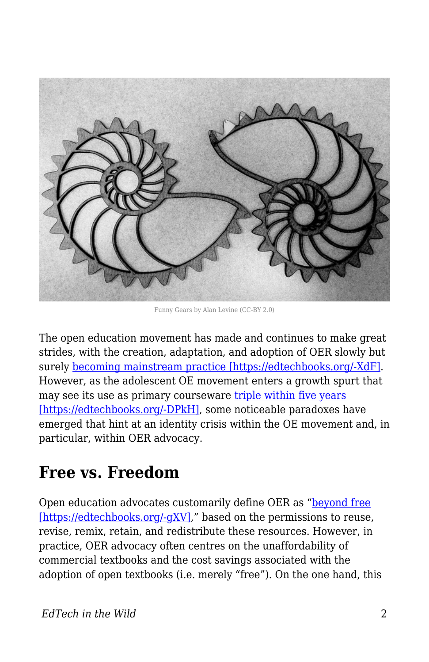

Funny Gears by Alan Levine (CC-BY 2.0)

The open education movement has made and continues to make great strides, with the creation, adaptation, and adoption of OER slowly but surely [becoming mainstream practice \[https://edtechbooks.org/-XdF\]](http://www.onlinelearningsurvey.com/reports/openingthetextbook2016.pdf). However, as the adolescent OE movement enters a growth spurt that may see its use as primary courseware [triple within five years](http://assets.cengage.com/pdf/wp_oer-evolving-higher-ed-landscape.pdf) [\[https://edtechbooks.org/-DPkH\],](http://assets.cengage.com/pdf/wp_oer-evolving-higher-ed-landscape.pdf) some noticeable paradoxes have emerged that hint at an identity crisis within the OE movement and, in particular, within OER advocacy.

### **Free vs. Freedom**

Open education advocates customarily define OER as ["beyond free](http://opencontent.org/blog/archives/3221) [\[https://edtechbooks.org/-gXV\]](http://opencontent.org/blog/archives/3221)," based on the permissions to reuse, revise, remix, retain, and redistribute these resources. However, in practice, OER advocacy often centres on the unaffordability of commercial textbooks and the cost savings associated with the adoption of open textbooks (i.e. merely "free"). On the one hand, this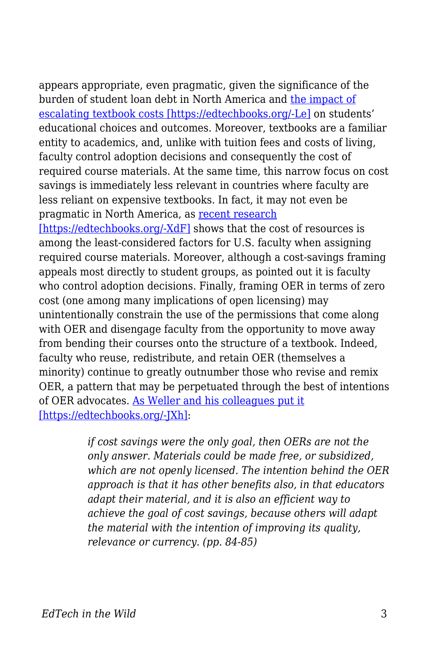appears appropriate, even pragmatic, given the significance of the burden of student loan debt in North America and [the impact of](http://www.studentpirgs.org/campaigns/sp/make-textbooks-affordable) [escalating textbook costs \[https://edtechbooks.org/-Le\]](http://www.studentpirgs.org/campaigns/sp/make-textbooks-affordable) on students' educational choices and outcomes. Moreover, textbooks are a familiar entity to academics, and, unlike with tuition fees and costs of living, faculty control adoption decisions and consequently the cost of required course materials. At the same time, this narrow focus on cost savings is immediately less relevant in countries where faculty are less reliant on expensive textbooks. In fact, it may not even be pragmatic in North America, as [recent research](http://www.onlinelearningsurvey.com/reports/openingthetextbook2016.pdf)

[\[https://edtechbooks.org/-XdF\]](http://www.onlinelearningsurvey.com/reports/openingthetextbook2016.pdf) shows that the cost of resources is among the least-considered factors for U.S. faculty when assigning required course materials. Moreover, although a cost-savings framing appeals most directly to student groups, as pointed out it is faculty who control adoption decisions. Finally, framing OER in terms of zero cost (one among many implications of open licensing) may unintentionally constrain the use of the permissions that come along with OER and disengage faculty from the opportunity to move away from bending their courses onto the structure of a textbook. Indeed, faculty who reuse, redistribute, and retain OER (themselves a minority) continue to greatly outnumber those who revise and remix OER, a pattern that may be perpetuated through the best of intentions of OER advocates. [As Weller and his colleagues put it](http://www.openbookpublishers.com/htmlreader/978-1-78374-278-3/ch4.xhtml#_idTextAnchor014) [\[https://edtechbooks.org/-JXh\]](http://www.openbookpublishers.com/htmlreader/978-1-78374-278-3/ch4.xhtml#_idTextAnchor014):

> *if cost savings were the only goal, then OERs are not the only answer. Materials could be made free, or subsidized, which are not openly licensed. The intention behind the OER approach is that it has other benefits also, in that educators adapt their material, and it is also an efficient way to achieve the goal of cost savings, because others will adapt the material with the intention of improving its quality, relevance or currency. (pp. 84-85)*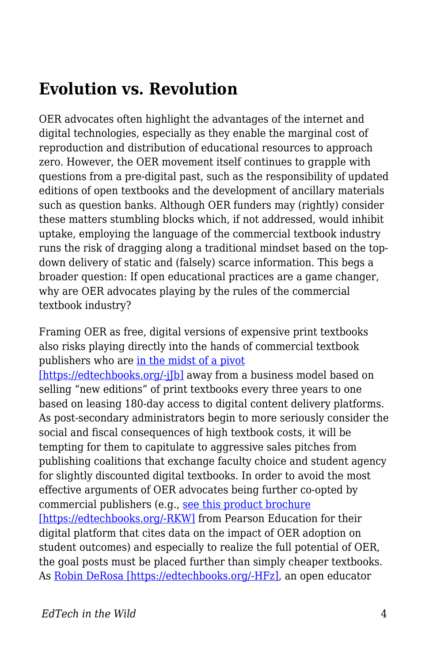## **Evolution vs. Revolution**

OER advocates often highlight the advantages of the internet and digital technologies, especially as they enable the marginal cost of reproduction and distribution of educational resources to approach zero. However, the OER movement itself continues to grapple with questions from a pre-digital past, such as the responsibility of updated editions of open textbooks and the development of ancillary materials such as question banks. Although OER funders may (rightly) consider these matters stumbling blocks which, if not addressed, would inhibit uptake, employing the language of the commercial textbook industry runs the risk of dragging along a traditional mindset based on the topdown delivery of static and (falsely) scarce information. This begs a broader question: If open educational practices are a game changer, why are OER advocates playing by the rules of the commercial textbook industry?

Framing OER as free, digital versions of expensive print textbooks also risks playing directly into the hands of commercial textbook publishers who are [in the midst of a pivot](http://www.edtechmagazine.com/higher/article/2014/10/educause-2014-publisher-says-textbooks-are-dead-and-adaptive-learning-rising-ashes)

[https://edtechbooks.org/-j[b] away from a business model based on selling "new editions" of print textbooks every three years to one based on leasing 180-day access to digital content delivery platforms. As post-secondary administrators begin to more seriously consider the social and fiscal consequences of high textbook costs, it will be tempting for them to capitulate to aggressive sales pitches from publishing coalitions that exchange faculty choice and student agency for slightly discounted digital textbooks. In order to avoid the most effective arguments of OER advocates being further co-opted by commercial publishers (e.g., [see this product brochure](https://www.pearsoned.com/wp-content/uploads/INSTR13104-DDAinfographic-V4.pdf) [\[https://edtechbooks.org/-RKW\]](https://www.pearsoned.com/wp-content/uploads/INSTR13104-DDAinfographic-V4.pdf) from Pearson Education for their digital platform that cites data on the impact of OER adoption on student outcomes) and especially to realize the full potential of OER, the goal posts must be placed further than simply cheaper textbooks. As [Robin DeRosa \[https://edtechbooks.org/-HFz\]](http://robinderosa.net/uncategorized/open-textbooks-ugh/), an open educator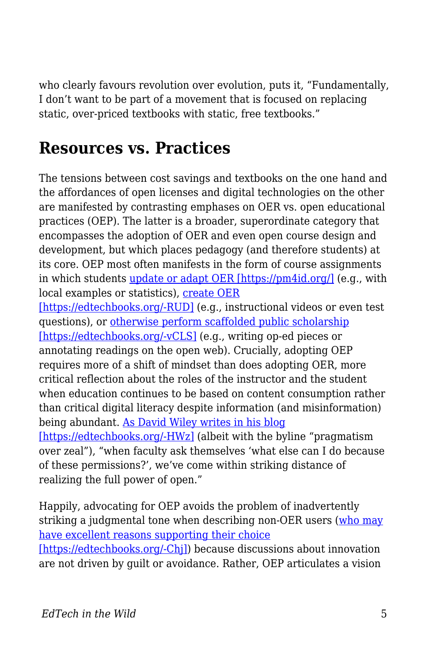who clearly favours revolution over evolution, puts it, "Fundamentally, I don't want to be part of a movement that is focused on replacing static, over-priced textbooks with static, free textbooks."

### **Resources vs. Practices**

The tensions between cost savings and textbooks on the one hand and the affordances of open licenses and digital technologies on the other are manifested by contrasting emphases on OER vs. open educational practices (OEP). The latter is a broader, superordinate category that encompasses the adoption of OER and even open course design and development, but which places pedagogy (and therefore students) at its core. OEP most often manifests in the form of course assignments in which students [update or adapt OER \[https://pm4id.org/\]](https://pm4id.org/) (e.g., with local examples or statistics), [create OER](http://thatpsychprof.com/why-have-students-answer-questions-when-they-can-write-them/) [\[https://edtechbooks.org/-RUD\]](http://thatpsychprof.com/why-have-students-answer-questions-when-they-can-write-them/) (e.g., instructional videos or even test

questions), or [otherwise perform scaffolded public scholarship](http://robinderosa.net/uncategorized/my-open-textbook-pedagogy-and-practice/) [\[https://edtechbooks.org/-vCLS\]](http://robinderosa.net/uncategorized/my-open-textbook-pedagogy-and-practice/) (e.g., writing op-ed pieces or annotating readings on the open web). Crucially, adopting OEP requires more of a shift of mindset than does adopting OER, more critical reflection about the roles of the instructor and the student when education continues to be based on content consumption rather than critical digital literacy despite information (and misinformation) being abundant. [As David Wiley writes in his blog](https://opencontent.org/blog/archives/4774) [\[https://edtechbooks.org/-HWz\]](https://opencontent.org/blog/archives/4774) (albeit with the byline "pragmatism"] over zeal"), "when faculty ask themselves 'what else can I do because of these permissions?', we've come within striking distance of realizing the full power of open."

Happily, advocating for OEP avoids the problem of inadvertently striking a judgmental tone when describing non-OER users ([who may](http://thatpsychprof.com/a-faculty-perspective-on-open-textbooks/) [have excellent reasons supporting their choice](http://thatpsychprof.com/a-faculty-perspective-on-open-textbooks/) [https://edtechbooks.org/-Chi]) because discussions about innovation are not driven by guilt or avoidance. Rather, OEP articulates a vision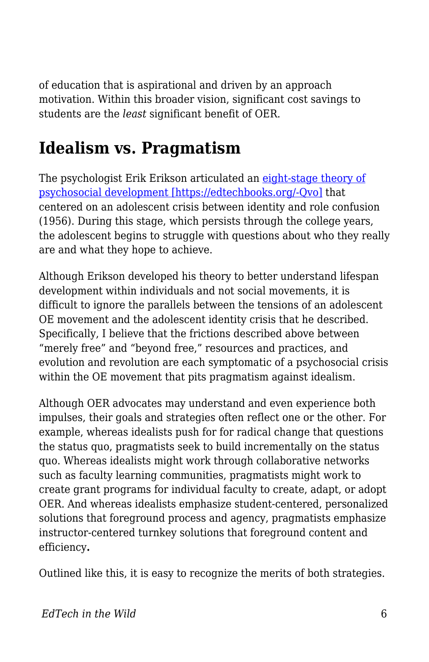of education that is aspirational and driven by an approach motivation. Within this broader vision, significant cost savings to students are the *least* significant benefit of OER.

# **Idealism vs. Pragmatism**

The psychologist Erik Erikson articulated an [eight-stage theory of](http://www.simplypsychology.org/Erik-Erikson.html) [psychosocial development \[https://edtechbooks.org/-Qvo\]](http://www.simplypsychology.org/Erik-Erikson.html) that centered on an adolescent crisis between identity and role confusion (1956). During this stage, which persists through the college years, the adolescent begins to struggle with questions about who they really are and what they hope to achieve.

Although Erikson developed his theory to better understand lifespan development within individuals and not social movements, it is difficult to ignore the parallels between the tensions of an adolescent OE movement and the adolescent identity crisis that he described. Specifically, I believe that the frictions described above between "merely free" and "beyond free," resources and practices, and evolution and revolution are each symptomatic of a psychosocial crisis within the OE movement that pits pragmatism against idealism.

Although OER advocates may understand and even experience both impulses, their goals and strategies often reflect one or the other. For example, whereas idealists push for for radical change that questions the status quo, pragmatists seek to build incrementally on the status quo. Whereas idealists might work through collaborative networks such as faculty learning communities, pragmatists might work to create grant programs for individual faculty to create, adapt, or adopt OER. And whereas idealists emphasize student-centered, personalized solutions that foreground process and agency, pragmatists emphasize instructor-centered turnkey solutions that foreground content and efficiency**.**

Outlined like this, it is easy to recognize the merits of both strategies.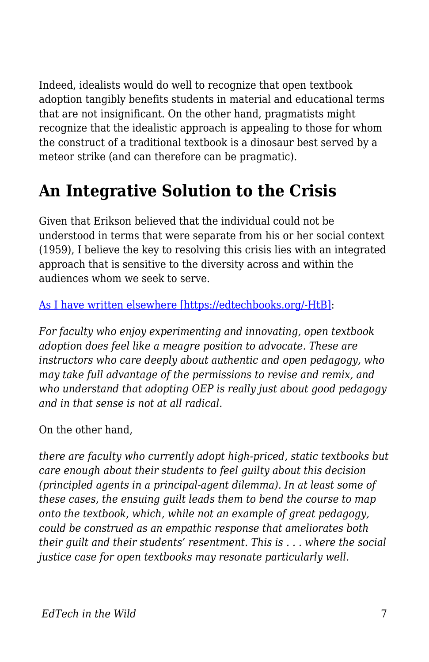Indeed, idealists would do well to recognize that open textbook adoption tangibly benefits students in material and educational terms that are not insignificant. On the other hand, pragmatists might recognize that the idealistic approach is appealing to those for whom the construct of a traditional textbook is a dinosaur best served by a meteor strike (and can therefore can be pragmatic).

# **An Integrative Solution to the Crisis**

Given that Erikson believed that the individual could not be understood in terms that were separate from his or her social context (1959), I believe the key to resolving this crisis lies with an integrated approach that is sensitive to the diversity across and within the audiences whom we seek to serve.

[As I have written elsewhere \[https://edtechbooks.org/-HtB\]:](http://thatpsychprof.com/are-open-textbooks-the-end-game/)

*For faculty who enjoy experimenting and innovating, open textbook adoption does feel like a meagre position to advocate. These are instructors who care deeply about authentic and open pedagogy, who may take full advantage of the permissions to revise and remix, and who understand that adopting OEP is really just about good pedagogy and in that sense is not at all radical.*

On the other hand,

*there are faculty who currently adopt high-priced, static textbooks but care enough about their students to feel guilty about this decision (principled agents in a principal-agent dilemma). In at least some of these cases, the ensuing guilt leads them to bend the course to map onto the textbook, which, while not an example of great pedagogy, could be construed as an empathic response that ameliorates both their guilt and their students' resentment. This is . . . where the social justice case for open textbooks may resonate particularly well.*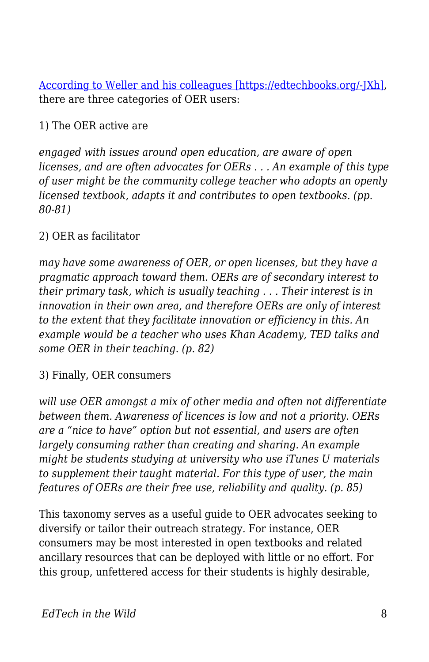[According to Weller and his colleagues \[https://edtechbooks.org/-JXh\]](http://www.openbookpublishers.com/htmlreader/978-1-78374-278-3/ch4.xhtml#_idTextAnchor014), there are three categories of OER users:

#### 1) The OER active are

*engaged with issues around open education, are aware of open licenses, and are often advocates for OERs . . . An example of this type of user might be the community college teacher who adopts an openly licensed textbook, adapts it and contributes to open textbooks. (pp. 80-81)*

#### 2) OER as facilitator

*may have some awareness of OER, or open licenses, but they have a pragmatic approach toward them. OERs are of secondary interest to their primary task, which is usually teaching . . . Their interest is in innovation in their own area, and therefore OERs are only of interest to the extent that they facilitate innovation or efficiency in this. An example would be a teacher who uses Khan Academy, TED talks and some OER in their teaching. (p. 82)*

#### 3) Finally, OER consumers

*will use OER amongst a mix of other media and often not differentiate between them. Awareness of licences is low and not a priority. OERs are a "nice to have" option but not essential, and users are often largely consuming rather than creating and sharing. An example might be students studying at university who use iTunes U materials to supplement their taught material. For this type of user, the main features of OERs are their free use, reliability and quality. (p. 85)*

This taxonomy serves as a useful guide to OER advocates seeking to diversify or tailor their outreach strategy. For instance, OER consumers may be most interested in open textbooks and related ancillary resources that can be deployed with little or no effort. For this group, unfettered access for their students is highly desirable,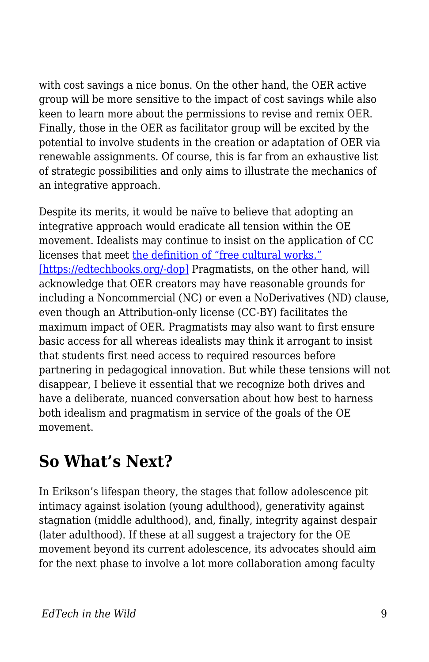with cost savings a nice bonus. On the other hand, the OER active group will be more sensitive to the impact of cost savings while also keen to learn more about the permissions to revise and remix OER. Finally, those in the OER as facilitator group will be excited by the potential to involve students in the creation or adaptation of OER via renewable assignments. Of course, this is far from an exhaustive list of strategic possibilities and only aims to illustrate the mechanics of an integrative approach.

Despite its merits, it would be naïve to believe that adopting an integrative approach would eradicate all tension within the OE movement. Idealists may continue to insist on the application of CC licenses that meet [the definition of "free cultural works."](http://freedomdefined.org/Definition) [\[https://edtechbooks.org/-dop\]](http://freedomdefined.org/Definition) Pragmatists, on the other hand, will acknowledge that OER creators may have reasonable grounds for including a Noncommercial (NC) or even a NoDerivatives (ND) clause, even though an Attribution-only license (CC-BY) facilitates the maximum impact of OER. Pragmatists may also want to first ensure basic access for all whereas idealists may think it arrogant to insist that students first need access to required resources before partnering in pedagogical innovation. But while these tensions will not disappear, I believe it essential that we recognize both drives and have a deliberate, nuanced conversation about how best to harness both idealism and pragmatism in service of the goals of the OE movement.

### **So What's Next?**

In Erikson's lifespan theory, the stages that follow adolescence pit intimacy against isolation (young adulthood), generativity against stagnation (middle adulthood), and, finally, integrity against despair (later adulthood). If these at all suggest a trajectory for the OE movement beyond its current adolescence, its advocates should aim for the next phase to involve a lot more collaboration among faculty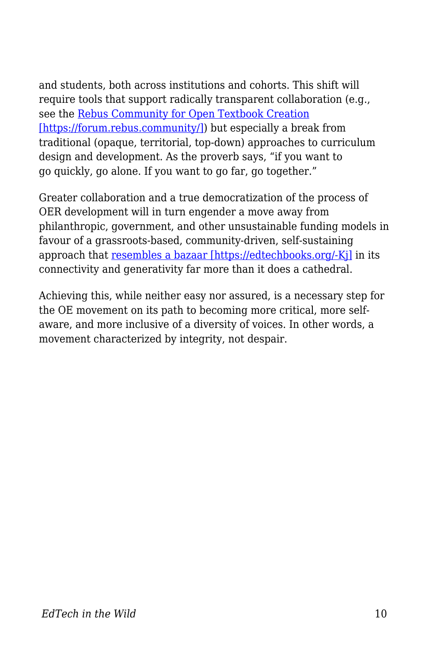and students, both across institutions and cohorts. This shift will require tools that support radically transparent collaboration (e.g., see the [Rebus Community for Open Textbook Creation](https://forum.rebus.community/) [\[https://forum.rebus.community/\]](https://forum.rebus.community/)) but especially a break from traditional (opaque, territorial, top-down) approaches to curriculum design and development. As the proverb says, "if you want to go quickly, go alone. If you want to go far, go together."

Greater collaboration and a true democratization of the process of OER development will in turn engender a move away from philanthropic, government, and other unsustainable funding models in favour of a grassroots-based, community-driven, self-sustaining approach that [resembles a bazaar \[https://edtechbooks.org/-Kj\]](http://www.catb.org/esr/writings/cathedral-bazaar/) in its connectivity and generativity far more than it does a cathedral.

Achieving this, while neither easy nor assured, is a necessary step for the OE movement on its path to becoming more critical, more selfaware, and more inclusive of a diversity of voices. In other words, a movement characterized by integrity, not despair.